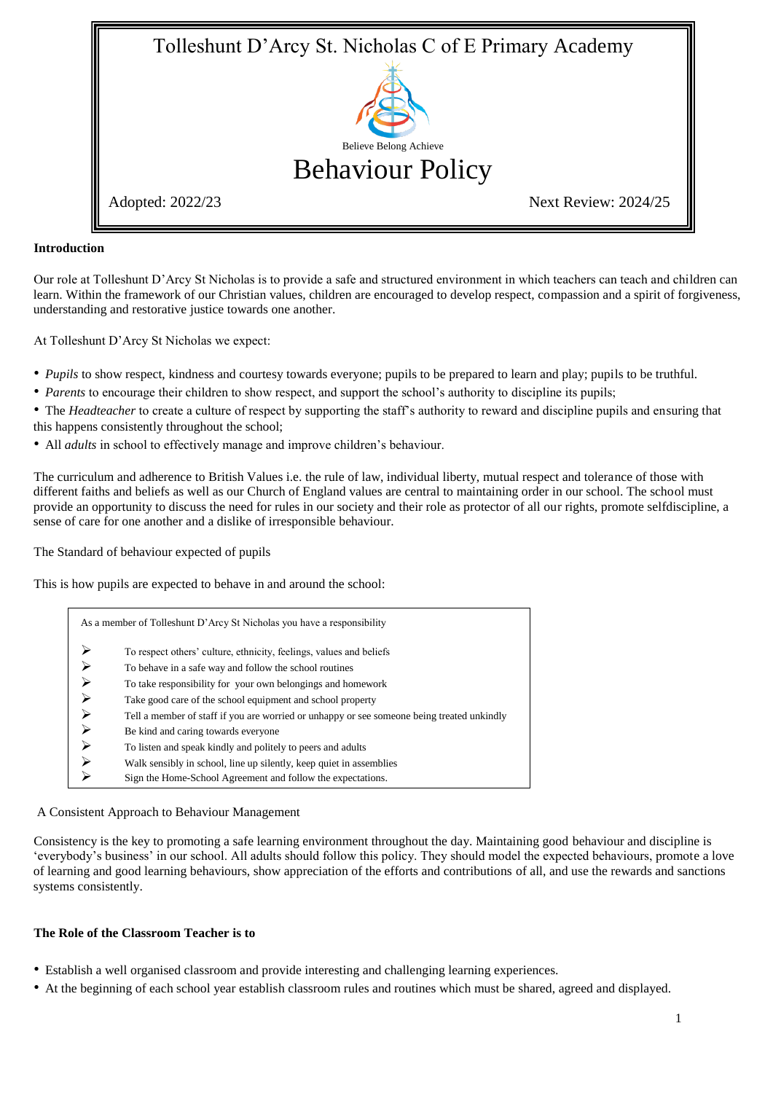

#### **Introduction**

Our role at Tolleshunt D'Arcy St Nicholas is to provide a safe and structured environment in which teachers can teach and children can learn. Within the framework of our Christian values, children are encouraged to develop respect, compassion and a spirit of forgiveness, understanding and restorative justice towards one another.

At Tolleshunt D'Arcy St Nicholas we expect:

- *Pupils* to show respect, kindness and courtesy towards everyone; pupils to be prepared to learn and play; pupils to be truthful.
- *Parents* to encourage their children to show respect, and support the school's authority to discipline its pupils;

• The *Headteacher* to create a culture of respect by supporting the staff's authority to reward and discipline pupils and ensuring that this happens consistently throughout the school;

• All *adults* in school to effectively manage and improve children's behaviour.

The curriculum and adherence to British Values i.e. the rule of law, individual liberty, mutual respect and tolerance of those with different faiths and beliefs as well as our Church of England values are central to maintaining order in our school. The school must provide an opportunity to discuss the need for rules in our society and their role as protector of all our rights, promote selfdiscipline, a sense of care for one another and a dislike of irresponsible behaviour.

The Standard of behaviour expected of pupils

This is how pupils are expected to behave in and around the school:

| As a member of Tolleshunt D'Arcy St Nicholas you have a responsibility                     |
|--------------------------------------------------------------------------------------------|
| To respect others' culture, ethnicity, feelings, values and beliefs                        |
| To behave in a safe way and follow the school routines                                     |
| To take responsibility for your own belongings and homework                                |
| Take good care of the school equipment and school property                                 |
| Tell a member of staff if you are worried or unhappy or see someone being treated unkindly |
| Be kind and caring towards everyone                                                        |
| To listen and speak kindly and politely to peers and adults                                |
| Walk sensibly in school, line up silently, keep quiet in assemblies                        |
| Sign the Home-School Agreement and follow the expectations.                                |

#### A Consistent Approach to Behaviour Management

Consistency is the key to promoting a safe learning environment throughout the day. Maintaining good behaviour and discipline is 'everybody's business' in our school. All adults should follow this policy. They should model the expected behaviours, promote a love of learning and good learning behaviours, show appreciation of the efforts and contributions of all, and use the rewards and sanctions systems consistently.

#### **The Role of the Classroom Teacher is to**

- Establish a well organised classroom and provide interesting and challenging learning experiences.
- At the beginning of each school year establish classroom rules and routines which must be shared, agreed and displayed.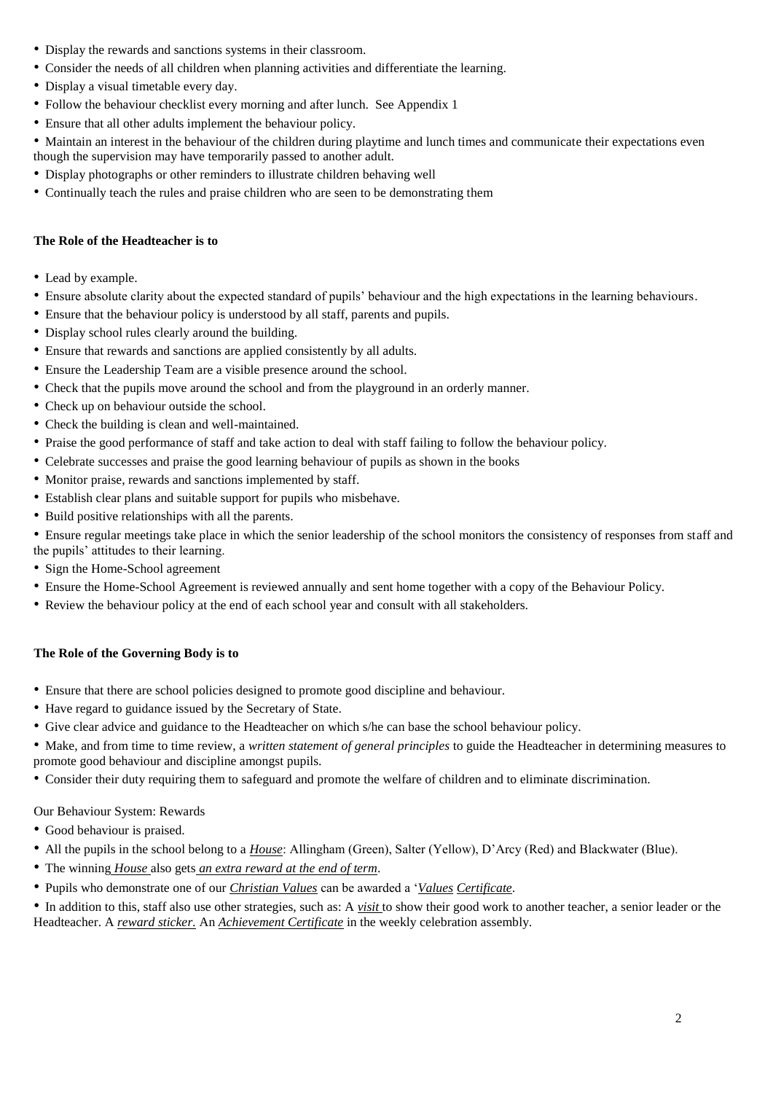- Display the rewards and sanctions systems in their classroom.
- Consider the needs of all children when planning activities and differentiate the learning.
- Display a visual timetable every day.
- Follow the behaviour checklist every morning and after lunch. See Appendix 1
- Ensure that all other adults implement the behaviour policy.

• Maintain an interest in the behaviour of the children during playtime and lunch times and communicate their expectations even though the supervision may have temporarily passed to another adult.

- Display photographs or other reminders to illustrate children behaving well
- Continually teach the rules and praise children who are seen to be demonstrating them

# **The Role of the Headteacher is to**

- Lead by example.
- Ensure absolute clarity about the expected standard of pupils' behaviour and the high expectations in the learning behaviours.
- Ensure that the behaviour policy is understood by all staff, parents and pupils.
- Display school rules clearly around the building.
- Ensure that rewards and sanctions are applied consistently by all adults.
- Ensure the Leadership Team are a visible presence around the school.
- Check that the pupils move around the school and from the playground in an orderly manner.
- Check up on behaviour outside the school.
- Check the building is clean and well-maintained.
- Praise the good performance of staff and take action to deal with staff failing to follow the behaviour policy.
- Celebrate successes and praise the good learning behaviour of pupils as shown in the books
- Monitor praise, rewards and sanctions implemented by staff.
- Establish clear plans and suitable support for pupils who misbehave.
- Build positive relationships with all the parents.
- Ensure regular meetings take place in which the senior leadership of the school monitors the consistency of responses from staff and the pupils' attitudes to their learning.
- Sign the Home-School agreement
- Ensure the Home-School Agreement is reviewed annually and sent home together with a copy of the Behaviour Policy.
- Review the behaviour policy at the end of each school year and consult with all stakeholders.

## **The Role of the Governing Body is to**

- Ensure that there are school policies designed to promote good discipline and behaviour.
- Have regard to guidance issued by the Secretary of State.
- Give clear advice and guidance to the Headteacher on which s/he can base the school behaviour policy.

• Make, and from time to time review, a *written statement of general principles* to guide the Headteacher in determining measures to promote good behaviour and discipline amongst pupils.

• Consider their duty requiring them to safeguard and promote the welfare of children and to eliminate discrimination.

# Our Behaviour System: Rewards

- Good behaviour is praised.
- All the pupils in the school belong to a *House*: Allingham (Green), Salter (Yellow), D'Arcy (Red) and Blackwater (Blue).
- The winning *House* also gets *an extra reward at the end of term*.
- Pupils who demonstrate one of our *Christian Values* can be awarded a '*Values Certificate*.

• In addition to this, staff also use other strategies, such as: A *visit* to show their good work to another teacher, a senior leader or the Headteacher. A *reward sticker.* An *Achievement Certificate* in the weekly celebration assembly.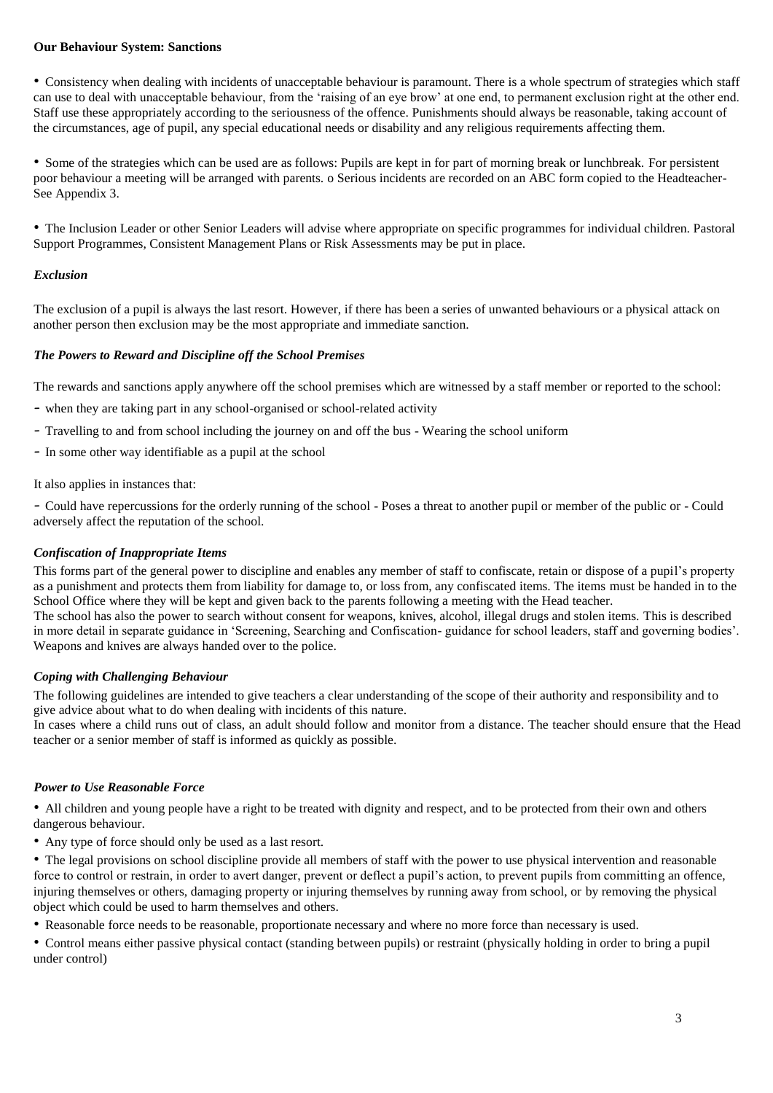#### **Our Behaviour System: Sanctions**

• Consistency when dealing with incidents of unacceptable behaviour is paramount. There is a whole spectrum of strategies which staff can use to deal with unacceptable behaviour, from the 'raising of an eye brow' at one end, to permanent exclusion right at the other end. Staff use these appropriately according to the seriousness of the offence. Punishments should always be reasonable, taking account of the circumstances, age of pupil, any special educational needs or disability and any religious requirements affecting them.

• Some of the strategies which can be used are as follows: Pupils are kept in for part of morning break or lunchbreak. For persistent poor behaviour a meeting will be arranged with parents. o Serious incidents are recorded on an ABC form copied to the Headteacher-See Appendix 3.

• The Inclusion Leader or other Senior Leaders will advise where appropriate on specific programmes for individual children. Pastoral Support Programmes, Consistent Management Plans or Risk Assessments may be put in place.

## *Exclusion*

The exclusion of a pupil is always the last resort. However, if there has been a series of unwanted behaviours or a physical attack on another person then exclusion may be the most appropriate and immediate sanction.

## *The Powers to Reward and Discipline off the School Premises*

The rewards and sanctions apply anywhere off the school premises which are witnessed by a staff member or reported to the school:

- when they are taking part in any school-organised or school-related activity
- Travelling to and from school including the journey on and off the bus Wearing the school uniform
- In some other way identifiable as a pupil at the school

It also applies in instances that:

- Could have repercussions for the orderly running of the school - Poses a threat to another pupil or member of the public or - Could adversely affect the reputation of the school.

## *Confiscation of Inappropriate Items*

This forms part of the general power to discipline and enables any member of staff to confiscate, retain or dispose of a pupil's property as a punishment and protects them from liability for damage to, or loss from, any confiscated items. The items must be handed in to the School Office where they will be kept and given back to the parents following a meeting with the Head teacher. The school has also the power to search without consent for weapons, knives, alcohol, illegal drugs and stolen items. This is described in more detail in separate guidance in 'Screening, Searching and Confiscation- guidance for school leaders, staff and governing bodies'. Weapons and knives are always handed over to the police.

#### *Coping with Challenging Behaviour*

The following guidelines are intended to give teachers a clear understanding of the scope of their authority and responsibility and to give advice about what to do when dealing with incidents of this nature.

In cases where a child runs out of class, an adult should follow and monitor from a distance. The teacher should ensure that the Head teacher or a senior member of staff is informed as quickly as possible.

#### *Power to Use Reasonable Force*

• All children and young people have a right to be treated with dignity and respect, and to be protected from their own and others dangerous behaviour.

• Any type of force should only be used as a last resort.

• The legal provisions on school discipline provide all members of staff with the power to use physical intervention and reasonable force to control or restrain, in order to avert danger, prevent or deflect a pupil's action, to prevent pupils from committing an offence, injuring themselves or others, damaging property or injuring themselves by running away from school, or by removing the physical object which could be used to harm themselves and others.

• Reasonable force needs to be reasonable, proportionate necessary and where no more force than necessary is used.

• Control means either passive physical contact (standing between pupils) or restraint (physically holding in order to bring a pupil under control)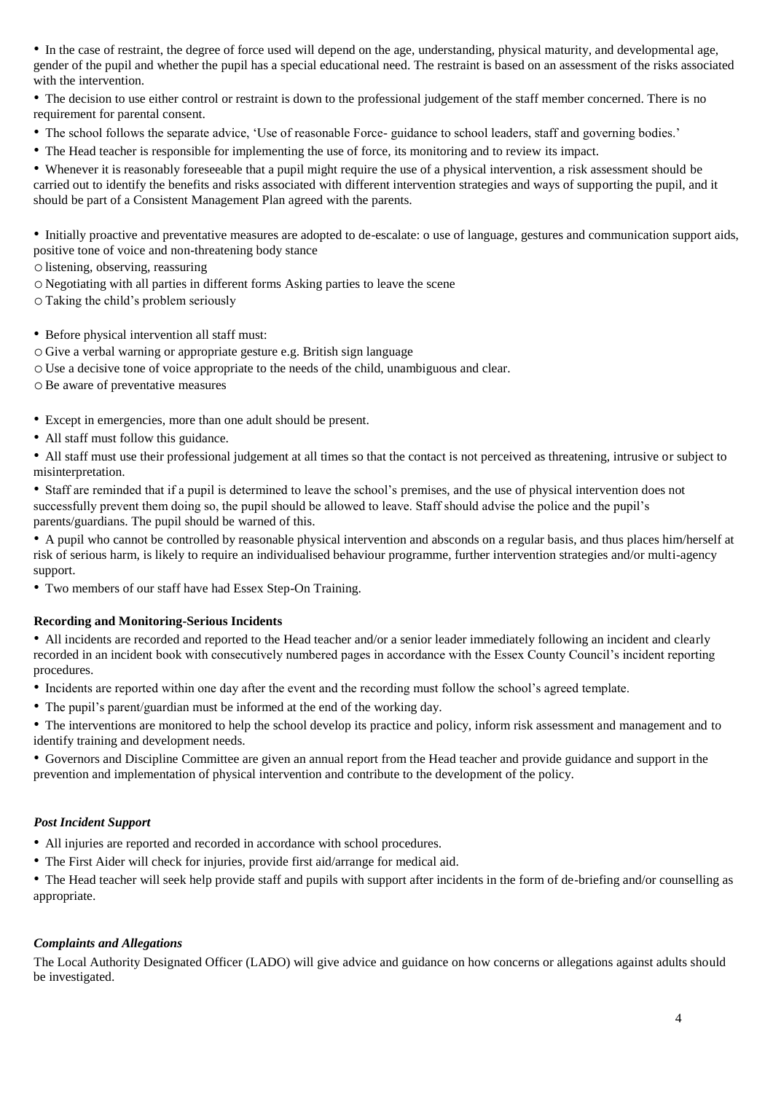• In the case of restraint, the degree of force used will depend on the age, understanding, physical maturity, and developmental age, gender of the pupil and whether the pupil has a special educational need. The restraint is based on an assessment of the risks associated with the intervention.

• The decision to use either control or restraint is down to the professional judgement of the staff member concerned. There is no requirement for parental consent.

- The school follows the separate advice, 'Use of reasonable Force- guidance to school leaders, staff and governing bodies.'
- The Head teacher is responsible for implementing the use of force, its monitoring and to review its impact.

• Whenever it is reasonably foreseeable that a pupil might require the use of a physical intervention, a risk assessment should be carried out to identify the benefits and risks associated with different intervention strategies and ways of supporting the pupil, and it should be part of a Consistent Management Plan agreed with the parents.

• Initially proactive and preventative measures are adopted to de-escalate: o use of language, gestures and communication support aids, positive tone of voice and non-threatening body stance

olistening, observing, reassuring

- o Negotiating with all parties in different forms Asking parties to leave the scene
- o Taking the child's problem seriously
- Before physical intervention all staff must:
- o Give a verbal warning or appropriate gesture e.g. British sign language
- o Use a decisive tone of voice appropriate to the needs of the child, unambiguous and clear.
- oBe aware of preventative measures
- Except in emergencies, more than one adult should be present.
- All staff must follow this guidance.

• All staff must use their professional judgement at all times so that the contact is not perceived as threatening, intrusive or subject to misinterpretation.

• Staff are reminded that if a pupil is determined to leave the school's premises, and the use of physical intervention does not successfully prevent them doing so, the pupil should be allowed to leave. Staff should advise the police and the pupil's parents/guardians. The pupil should be warned of this.

• A pupil who cannot be controlled by reasonable physical intervention and absconds on a regular basis, and thus places him/herself at risk of serious harm, is likely to require an individualised behaviour programme, further intervention strategies and/or multi-agency support.

• Two members of our staff have had Essex Step-On Training.

#### **Recording and Monitoring-Serious Incidents**

• All incidents are recorded and reported to the Head teacher and/or a senior leader immediately following an incident and clearly recorded in an incident book with consecutively numbered pages in accordance with the Essex County Council's incident reporting procedures.

- Incidents are reported within one day after the event and the recording must follow the school's agreed template.
- The pupil's parent/guardian must be informed at the end of the working day.

• The interventions are monitored to help the school develop its practice and policy, inform risk assessment and management and to identify training and development needs.

• Governors and Discipline Committee are given an annual report from the Head teacher and provide guidance and support in the prevention and implementation of physical intervention and contribute to the development of the policy.

## *Post Incident Support*

- All injuries are reported and recorded in accordance with school procedures.
- The First Aider will check for injuries, provide first aid/arrange for medical aid.

• The Head teacher will seek help provide staff and pupils with support after incidents in the form of de-briefing and/or counselling as appropriate.

#### *Complaints and Allegations*

The Local Authority Designated Officer (LADO) will give advice and guidance on how concerns or allegations against adults should be investigated.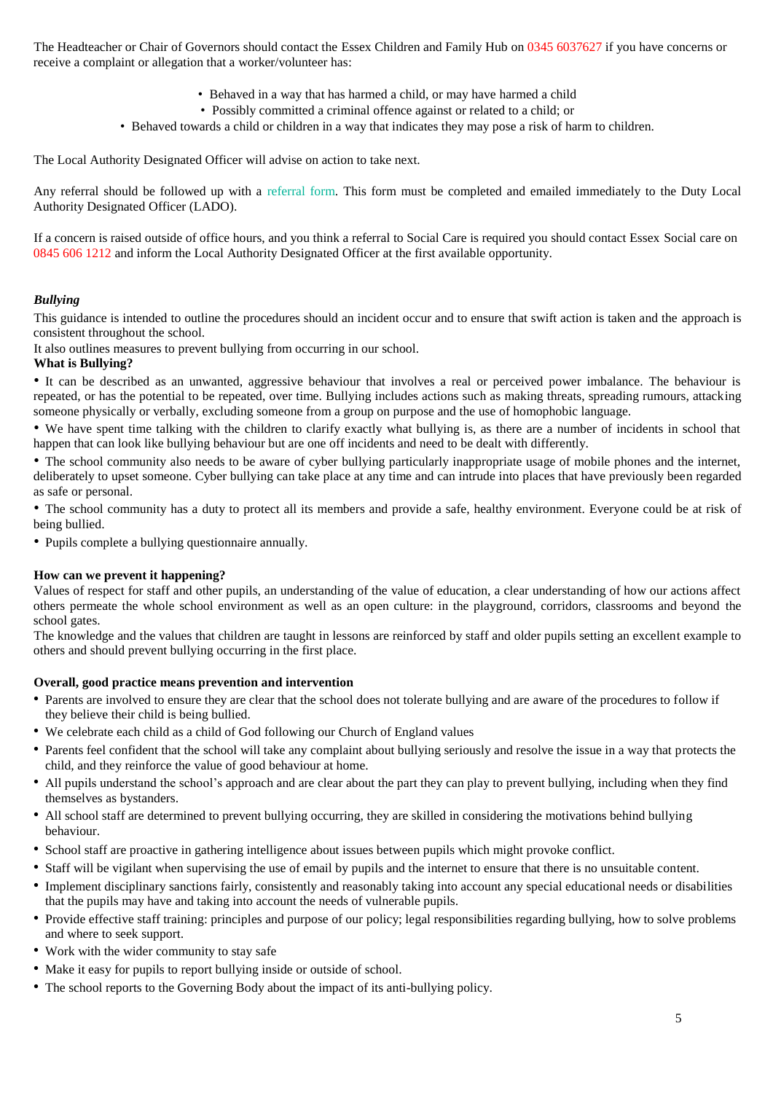The Headteacher or Chair of Governors should contact the Essex Children and Family Hub on 0345 6037627 if you have concerns or receive a complaint or allegation that a worker/volunteer has:

- Behaved in a way that has harmed a child, or may have harmed a child
- Possibly committed a criminal offence against or related to a child; or
- Behaved towards a child or children in a way that indicates they may pose a risk of harm to children.

The Local Authority Designated Officer will advise on action to take next.

Any referral should be followed up with a referral form. This form must be completed and emailed immediately to the Duty Local Authority Designated Officer (LADO).

If a concern is raised outside of office hours, and you think a referral to Social Care is required you should contact Essex Social care on 0845 606 1212 and inform the Local Authority Designated Officer at the first available opportunity.

## *Bullying*

This guidance is intended to outline the procedures should an incident occur and to ensure that swift action is taken and the approach is consistent throughout the school.

It also outlines measures to prevent bullying from occurring in our school.

## **What is Bullying?**

• It can be described as an unwanted, aggressive behaviour that involves a real or perceived power imbalance. The behaviour is repeated, or has the potential to be repeated, over time. Bullying includes actions such as making threats, spreading rumours, attacking someone physically or verbally, excluding someone from a group on purpose and the use of homophobic language.

• We have spent time talking with the children to clarify exactly what bullying is, as there are a number of incidents in school that happen that can look like bullying behaviour but are one off incidents and need to be dealt with differently.

• The school community also needs to be aware of cyber bullying particularly inappropriate usage of mobile phones and the internet, deliberately to upset someone. Cyber bullying can take place at any time and can intrude into places that have previously been regarded as safe or personal.

• The school community has a duty to protect all its members and provide a safe, healthy environment. Everyone could be at risk of being bullied.

• Pupils complete a bullying questionnaire annually.

#### **How can we prevent it happening?**

Values of respect for staff and other pupils, an understanding of the value of education, a clear understanding of how our actions affect others permeate the whole school environment as well as an open culture: in the playground, corridors, classrooms and beyond the school gates.

The knowledge and the values that children are taught in lessons are reinforced by staff and older pupils setting an excellent example to others and should prevent bullying occurring in the first place.

#### **Overall, good practice means prevention and intervention**

- Parents are involved to ensure they are clear that the school does not tolerate bullying and are aware of the procedures to follow if they believe their child is being bullied.
- We celebrate each child as a child of God following our Church of England values
- Parents feel confident that the school will take any complaint about bullying seriously and resolve the issue in a way that protects the child, and they reinforce the value of good behaviour at home.
- All pupils understand the school's approach and are clear about the part they can play to prevent bullying, including when they find themselves as bystanders.
- All school staff are determined to prevent bullying occurring, they are skilled in considering the motivations behind bullying behaviour.
- School staff are proactive in gathering intelligence about issues between pupils which might provoke conflict.
- Staff will be vigilant when supervising the use of email by pupils and the internet to ensure that there is no unsuitable content.
- Implement disciplinary sanctions fairly, consistently and reasonably taking into account any special educational needs or disabilities that the pupils may have and taking into account the needs of vulnerable pupils.
- Provide effective staff training: principles and purpose of our policy; legal responsibilities regarding bullying, how to solve problems and where to seek support.
- Work with the wider community to stay safe
- Make it easy for pupils to report bullying inside or outside of school.
- The school reports to the Governing Body about the impact of its anti-bullying policy.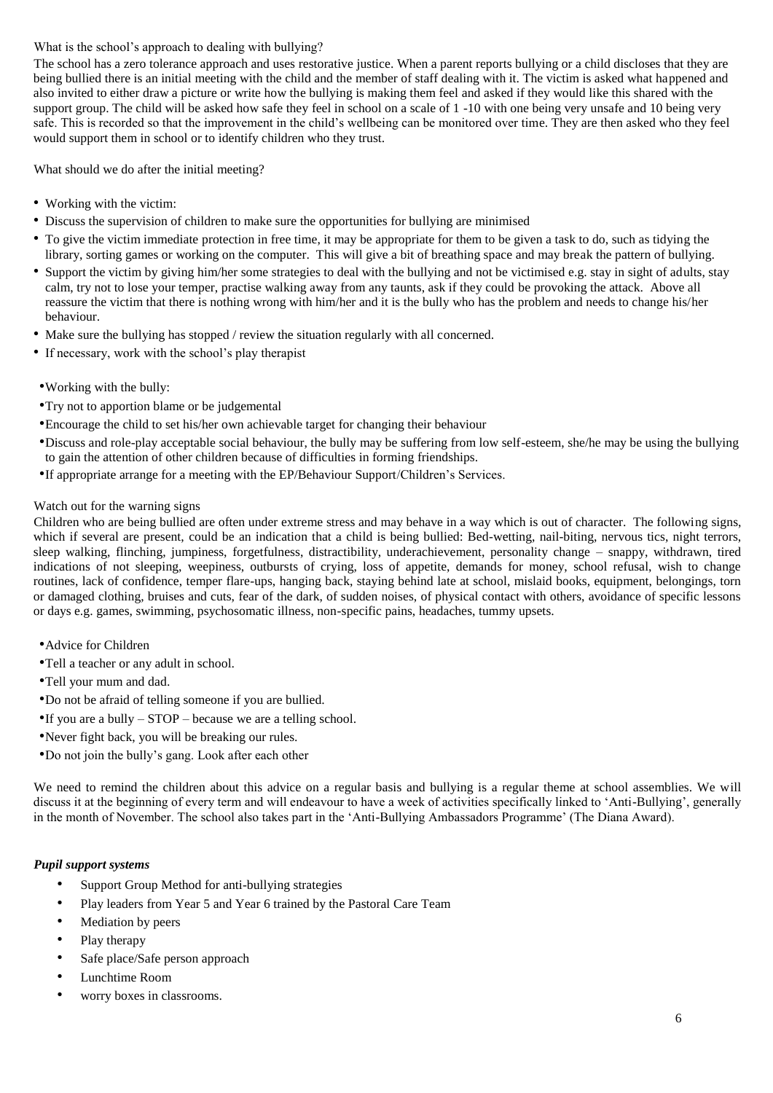## What is the school's approach to dealing with bullying?

The school has a zero tolerance approach and uses restorative justice. When a parent reports bullying or a child discloses that they are being bullied there is an initial meeting with the child and the member of staff dealing with it. The victim is asked what happened and also invited to either draw a picture or write how the bullying is making them feel and asked if they would like this shared with the support group. The child will be asked how safe they feel in school on a scale of 1 -10 with one being very unsafe and 10 being very safe. This is recorded so that the improvement in the child's wellbeing can be monitored over time. They are then asked who they feel would support them in school or to identify children who they trust.

What should we do after the initial meeting?

- Working with the victim:
- Discuss the supervision of children to make sure the opportunities for bullying are minimised
- To give the victim immediate protection in free time, it may be appropriate for them to be given a task to do, such as tidying the library, sorting games or working on the computer. This will give a bit of breathing space and may break the pattern of bullying.
- Support the victim by giving him/her some strategies to deal with the bullying and not be victimised e.g. stay in sight of adults, stay calm, try not to lose your temper, practise walking away from any taunts, ask if they could be provoking the attack. Above all reassure the victim that there is nothing wrong with him/her and it is the bully who has the problem and needs to change his/her behaviour.
- Make sure the bullying has stopped / review the situation regularly with all concerned.
- If necessary, work with the school's play therapist
- •Working with the bully:
- •Try not to apportion blame or be judgemental
- •Encourage the child to set his/her own achievable target for changing their behaviour
- •Discuss and role-play acceptable social behaviour, the bully may be suffering from low self-esteem, she/he may be using the bullying to gain the attention of other children because of difficulties in forming friendships.
- •If appropriate arrange for a meeting with the EP/Behaviour Support/Children's Services.

## Watch out for the warning signs

Children who are being bullied are often under extreme stress and may behave in a way which is out of character. The following signs, which if several are present, could be an indication that a child is being bullied: Bed-wetting, nail-biting, nervous tics, night terrors, sleep walking, flinching, jumpiness, forgetfulness, distractibility, underachievement, personality change – snappy, withdrawn, tired indications of not sleeping, weepiness, outbursts of crying, loss of appetite, demands for money, school refusal, wish to change routines, lack of confidence, temper flare-ups, hanging back, staying behind late at school, mislaid books, equipment, belongings, torn or damaged clothing, bruises and cuts, fear of the dark, of sudden noises, of physical contact with others, avoidance of specific lessons or days e.g. games, swimming, psychosomatic illness, non-specific pains, headaches, tummy upsets.

- •Advice for Children
- •Tell a teacher or any adult in school.
- •Tell your mum and dad.
- •Do not be afraid of telling someone if you are bullied.
- $\bullet$ If you are a bully STOP because we are a telling school.
- •Never fight back, you will be breaking our rules.
- •Do not join the bully's gang. Look after each other

We need to remind the children about this advice on a regular basis and bullying is a regular theme at school assemblies. We will discuss it at the beginning of every term and will endeavour to have a week of activities specifically linked to 'Anti-Bullying', generally in the month of November. The school also takes part in the 'Anti-Bullying Ambassadors Programme' (The Diana Award).

#### *Pupil support systems*

- Support Group Method for anti-bullying strategies
- Play leaders from Year 5 and Year 6 trained by the Pastoral Care Team
- Mediation by peers
- Play therapy
- Safe place/Safe person approach
- Lunchtime Room
- worry boxes in classrooms.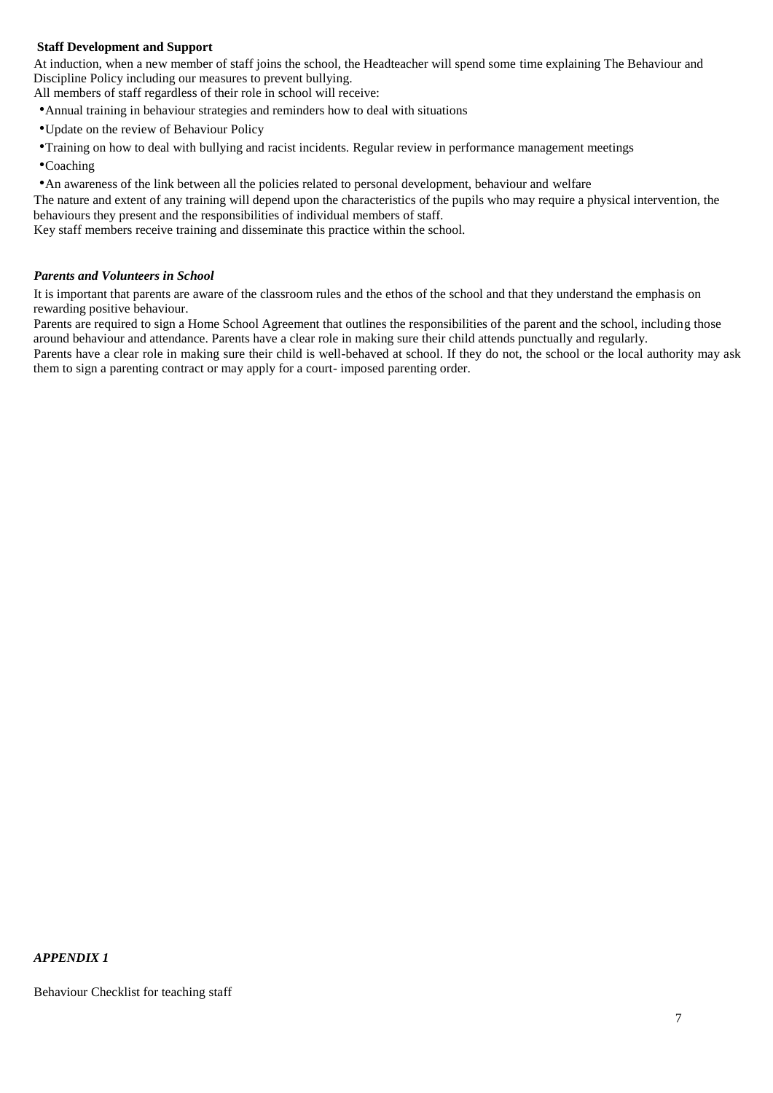## **Staff Development and Support**

At induction, when a new member of staff joins the school, the Headteacher will spend some time explaining The Behaviour and Discipline Policy including our measures to prevent bullying.

All members of staff regardless of their role in school will receive:

- •Annual training in behaviour strategies and reminders how to deal with situations
- •Update on the review of Behaviour Policy
- •Training on how to deal with bullying and racist incidents. Regular review in performance management meetings
- •Coaching

•An awareness of the link between all the policies related to personal development, behaviour and welfare

The nature and extent of any training will depend upon the characteristics of the pupils who may require a physical intervention, the behaviours they present and the responsibilities of individual members of staff.

Key staff members receive training and disseminate this practice within the school.

#### *Parents and Volunteers in School*

It is important that parents are aware of the classroom rules and the ethos of the school and that they understand the emphasis on rewarding positive behaviour.

Parents are required to sign a Home School Agreement that outlines the responsibilities of the parent and the school, including those around behaviour and attendance. Parents have a clear role in making sure their child attends punctually and regularly.

Parents have a clear role in making sure their child is well-behaved at school. If they do not, the school or the local authority may ask them to sign a parenting contract or may apply for a court- imposed parenting order.

#### *APPENDIX 1*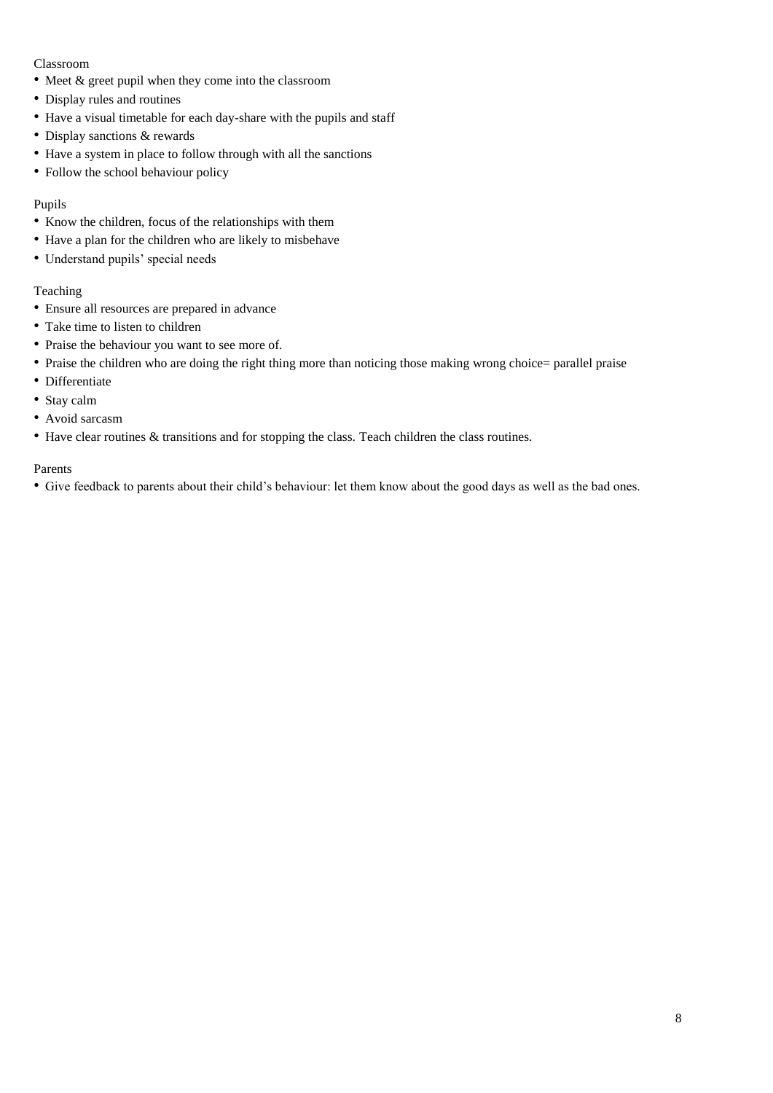## Classroom

- Meet & greet pupil when they come into the classroom
- Display rules and routines
- Have a visual timetable for each day-share with the pupils and staff
- Display sanctions & rewards
- Have a system in place to follow through with all the sanctions
- Follow the school behaviour policy

# Pupils

- Know the children, focus of the relationships with them
- Have a plan for the children who are likely to misbehave
- Understand pupils' special needs

# Teaching

- Ensure all resources are prepared in advance
- Take time to listen to children
- Praise the behaviour you want to see more of.
- Praise the children who are doing the right thing more than noticing those making wrong choice= parallel praise
- Differentiate
- Stay calm
- Avoid sarcasm
- Have clear routines & transitions and for stopping the class. Teach children the class routines.

## Parents

• Give feedback to parents about their child's behaviour: let them know about the good days as well as the bad ones.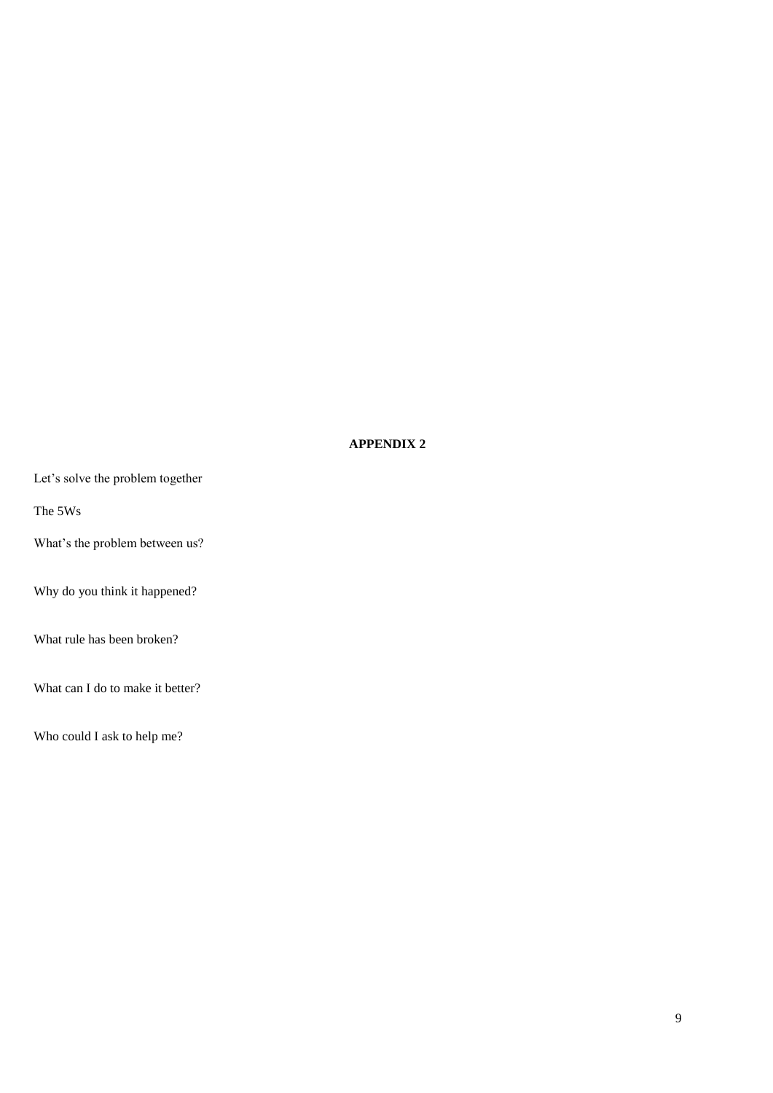## **APPENDIX 2**

Let's solve the problem together

The 5Ws

What's the problem between us?

Why do you think it happened?

What rule has been broken?

What can I do to make it better?

Who could I ask to help me?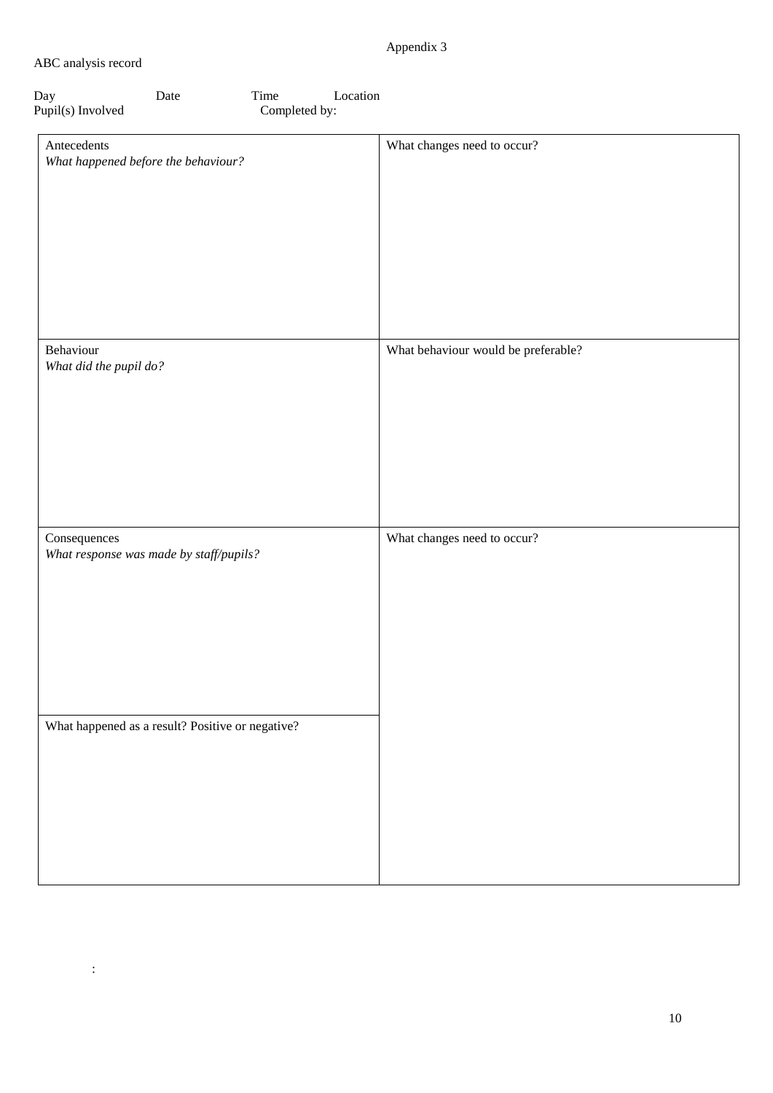# Appendix 3

## ABC analysis record

:

| Day               | Date | Time          | Location |
|-------------------|------|---------------|----------|
| Pupil(s) Involved |      | Completed by: |          |

| Antecedents<br>What happened before the behaviour?      | What changes need to occur?         |
|---------------------------------------------------------|-------------------------------------|
| Behaviour<br>What did the pupil do?                     | What behaviour would be preferable? |
| Consequences<br>What response was made by staff/pupils? | What changes need to occur?         |
| What happened as a result? Positive or negative?        |                                     |